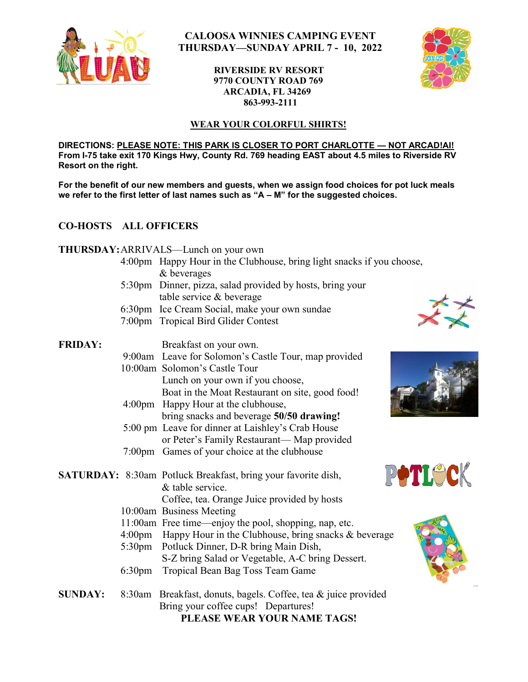

# **CALOOSA WINNIES CAMPING EVENT THURSDAY—SUNDAY APRIL 7 - 10, 2022**

## **RIVERSIDE RV RESORT 9770 COUNTY ROAD 769 ARCADIA, FL 34269 863-993-2111**



## **WEAR YOUR COLORFUL SHIRTS!**

**DIRECTIONS: PLEASE NOTE: THIS PARK IS CLOSER TO PORT CHARLOTTE — NOT ARCAD!AI! From I-75 take exit 170 Kings Hwy, County Rd. 769 heading EAST about 4.5 miles to Riverside RV Resort on the right.** 

**For the benefit of our new members and guests, when we assign food choices for pot luck meals** we refer to the first letter of last names such as "A - M" for the suggested choices.

## **CO-HOSTS ALL OFFICERS**

### **THURSDAY:**ARRIVALS—Lunch on your own

- 4:00pm Happy Hour in the Clubhouse, bring light snacks if you choose, & beverages
- 5:30pm Dinner, pizza, salad provided by hosts, bring your table service & beverage
- 6:30pm Ice Cream Social, make your own sundae
- 7:00pm Tropical Bird Glider Contest

| <b>FRIDAY:</b> | Breakfast on your own.                               |
|----------------|------------------------------------------------------|
|                | 9:00am Leave for Solomon's Castle Tour, map provided |
|                | 10:00am Solomon's Castle Tour                        |
|                | Lunch on your own if you choose,                     |
|                | Boat in the Moat Restaurant on site, good food!      |
|                | 4:00pm Happy Hour at the clubhouse,                  |
|                | bring snacks and beverage 50/50 drawing!             |
|                | 5:00 pm Leave for dinner at Laishley's Crab House    |
|                | or Peter's Family Restaurant—Map provided            |
|                | 7:00pm Games of your choice at the clubhouse         |







- **SATURDAY:** 8:30am Potluck Breakfast, bring your favorite dish, & table service. Coffee, tea. Orange Juice provided by hosts 10:00am Business Meeting
	- 11:00am Free time—enjoy the pool, shopping, nap, etc.
	- 4:00pm Happy Hour in the Clubhouse, bring snacks & beverage
	- 5:30pm Potluck Dinner, D-R bring Main Dish, S-Z bring Salad or Vegetable, A-C bring Dessert.
	- 6:30pm Tropical Bean Bag Toss Team Game
- **SUNDAY:** 8:30am Breakfast, donuts, bagels. Coffee, tea & juice provided Bring your coffee cups! Departures! **PLEASE WEAR YOUR NAME TAGS!**